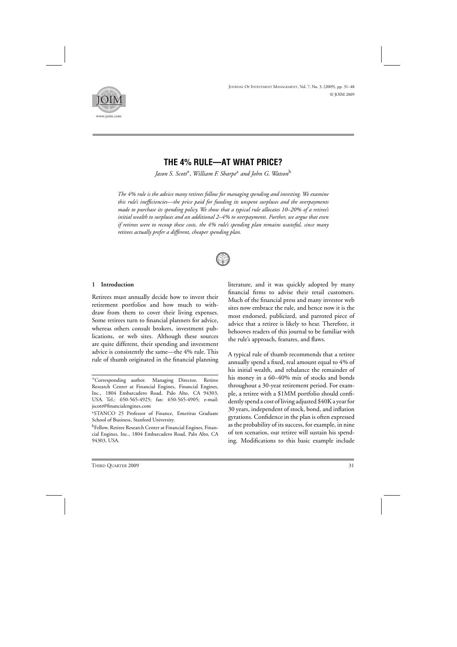

# **THE 4% RULE—AT WHAT PRICE?**

*Jason S. Scott*∗*, William F. Sharpe*<sup>a</sup> *and John G. Watson*<sup>b</sup>

*The 4% rule is the advice many retirees follow for managing spending and investing. We examine this rule's inefficiencies—the price paid for funding its unspent surpluses and the overpayments made to purchase its spending policy. We show that a typical rule allocates 10–20% of a retiree's initial wealth to surpluses and an additional 2–4% to overpayments. Further, we argue that even if retirees were to recoup these costs, the 4% rule's spending plan remains wasteful, since many retirees actually prefer a different, cheaper spending plan.*



### **1 Introduction**

Retirees must annually decide how to invest their retirement portfolios and how much to withdraw from them to cover their living expenses. Some retirees turn to financial planners for advice, whereas others consult brokers, investment publications, or web sites. Although these sources are quite different, their spending and investment advice is consistently the same—the 4% rule. This rule of thumb originated in the financial planning

literature, and it was quickly adopted by many financial firms to advise their retail customers. Much of the financial press and many investor web sites now embrace the rule, and hence now it is the most endorsed, publicized, and parroted piece of advice that a retiree is likely to hear. Therefore, it behooves readers of this journal to be familiar with the rule's approach, features, and flaws.

A typical rule of thumb recommends that a retiree annually spend a fixed, real amount equal to 4% of his initial wealth, and rebalance the remainder of his money in a 60–40% mix of stocks and bonds throughout a 30-year retirement period. For example, a retiree with a \$1MM portfolio should confidently spend a cost of living adjusted \$40K a year for 30 years, independent of stock, bond, and inflation gyrations. Confidence in the plan is often expressed as the probability of its success, for example, in nine of ten scenarios, our retiree will sustain his spending. Modifications to this basic example include

<sup>∗</sup>Corresponding author. Managing Director, Retiree Research Center at Financial Engines, Financial Engines, Inc., 1804 Embarcadero Road, Palo Alto, CA 94303, USA. Tel.: 650-565-4925; fax: 650-565-4905; e-mail: jscott@financialengines.com

<sup>&</sup>lt;sup>a</sup>STANCO 25 Professor of Finance, Emeritus Graduate School of Business, Stanford University.

<sup>&</sup>lt;sup>b</sup>Fellow, Retiree Research Center at Financial Engines, Financial Engines, Inc., 1804 Embarcadero Road, Palo Alto, CA 94303, USA.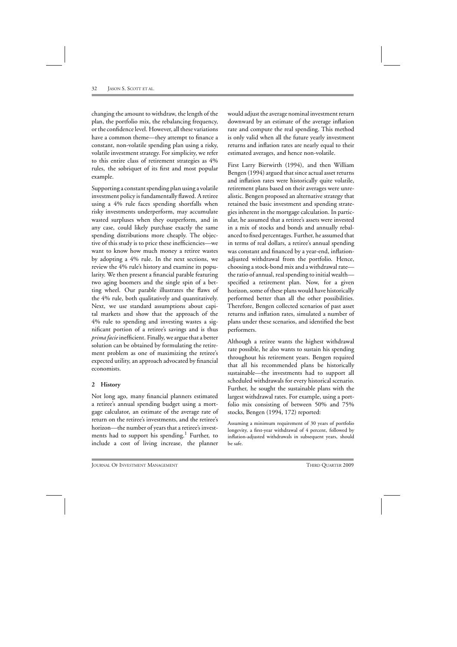changing the amount to withdraw, the length of the plan, the portfolio mix, the rebalancing frequency, or the confidence level. However, all these variations have a common theme—they attempt to finance a constant, non-volatile spending plan using a risky, volatile investment strategy. For simplicity, we refer to this entire class of retirement strategies as 4% rules, the sobriquet of its first and most popular example.

Supporting a constant spending plan using a volatile investment policy is fundamentally flawed. A retiree using a 4% rule faces spending shortfalls when risky investments underperform, may accumulate wasted surpluses when they outperform, and in any case, could likely purchase exactly the same spending distributions more cheaply. The objective of this study is to price these inefficiencies—we want to know how much money a retiree wastes by adopting a 4% rule. In the next sections, we review the 4% rule's history and examine its popularity. We then present a financial parable featuring two aging boomers and the single spin of a betting wheel. Our parable illustrates the flaws of the 4% rule, both qualitatively and quantitatively. Next, we use standard assumptions about capital markets and show that the approach of the 4% rule to spending and investing wastes a significant portion of a retiree's savings and is thus *prima facie*inefficient. Finally, we argue that a better solution can be obtained by formulating the retirement problem as one of maximizing the retiree's expected utility, an approach advocated by financial economists.

# **2 History**

Not long ago, many financial planners estimated a retiree's annual spending budget using a mortgage calculator, an estimate of the average rate of return on the retiree's investments, and the retiree's horizon—the number of years that a retiree's investments had to support his spending.<sup>1</sup> Further, to include a cost of living increase, the planner

would adjust the average nominal investment return downward by an estimate of the average inflation rate and compute the real spending. This method is only valid when all the future yearly investment returns and inflation rates are nearly equal to their estimated averages, and hence non-volatile.

First Larry Bierwirth (1994), and then William Bengen (1994) argued that since actual asset returns and inflation rates were historically quite volatile, retirement plans based on their averages were unrealistic. Bengen proposed an alternative strategy that retained the basic investment and spending strategies inherent in the mortgage calculation. In particular, he assumed that a retiree's assets were invested in a mix of stocks and bonds and annually rebalanced to fixed percentages. Further, he assumed that in terms of real dollars, a retiree's annual spending was constant and financed by a year-end, inflationadjusted withdrawal from the portfolio. Hence, choosing a stock-bond mix and a withdrawal rate the ratio of annual, real spending to initial wealth specified a retirement plan. Now, for a given horizon, some of these plans would have historically performed better than all the other possibilities. Therefore, Bengen collected scenarios of past asset returns and inflation rates, simulated a number of plans under these scenarios, and identified the best performers.

Although a retiree wants the highest withdrawal rate possible, he also wants to sustain his spending throughout his retirement years. Bengen required that all his recommended plans be historically sustainable—the investments had to support all scheduled withdrawals for every historical scenario. Further, he sought the sustainable plans with the largest withdrawal rates. For example, using a portfolio mix consisting of between 50% and 75% stocks, Bengen (1994, 172) reported:

Assuming a minimum requirement of 30 years of portfolio longevity, a first-year withdrawal of 4 percent, followed by inflation-adjusted withdrawals in subsequent years, should be safe.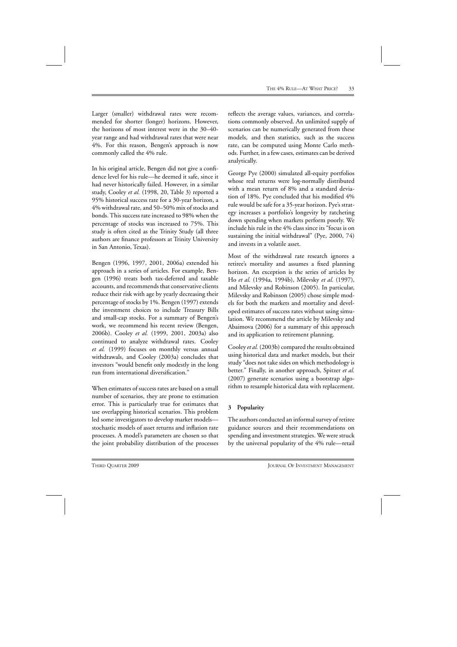Larger (smaller) withdrawal rates were recommended for shorter (longer) horizons. However, the horizons of most interest were in the 30–40 year range and had withdrawal rates that were near 4%. For this reason, Bengen's approach is now commonly called the 4% rule.

In his original article, Bengen did not give a confidence level for his rule—he deemed it safe, since it had never historically failed. However, in a similar study, Cooley *et al.* (1998, 20, Table 3) reported a 95% historical success rate for a 30-year horizon, a 4% withdrawal rate, and 50–50% mix of stocks and bonds. This success rate increased to 98% when the percentage of stocks was increased to 75%. This study is often cited as the Trinity Study (all three authors are finance professors at Trinity University in San Antonio, Texas).

Bengen (1996, 1997, 2001, 2006a) extended his approach in a series of articles. For example, Bengen (1996) treats both tax-deferred and taxable accounts, and recommends that conservative clients reduce their risk with age by yearly decreasing their percentage of stocks by 1%. Bengen (1997) extends the investment choices to include Treasury Bills and small-cap stocks. For a summary of Bengen's work, we recommend his recent review (Bengen, 2006b). Cooley *et al.* (1999, 2001, 2003a) also continued to analyze withdrawal rates. Cooley *et al.* (1999) focuses on monthly versus annual withdrawals, and Cooley (2003a) concludes that investors "would benefit only modestly in the long run from international diversification."

When estimates of success rates are based on a small number of scenarios, they are prone to estimation error. This is particularly true for estimates that use overlapping historical scenarios. This problem led some investigators to develop market models stochastic models of asset returns and inflation rate processes. A model's parameters are chosen so that the joint probability distribution of the processes

reflects the average values, variances, and correlations commonly observed. An unlimited supply of scenarios can be numerically generated from these models, and then statistics, such as the success rate, can be computed using Monte Carlo methods. Further, in a few cases, estimates can be derived analytically.

George Pye (2000) simulated all-equity portfolios whose real returns were log-normally distributed with a mean return of 8% and a standard deviation of 18%. Pye concluded that his modified 4% rule would be safe for a 35-year horizon. Pye's strategy increases a portfolio's longevity by ratcheting down spending when markets perform poorly. We include his rule in the 4% class since its "focus is on sustaining the initial withdrawal" (Pye, 2000, 74) and invests in a volatile asset.

Most of the withdrawal rate research ignores a retiree's mortality and assumes a fixed planning horizon. An exception is the series of articles by Ho *et al.* (1994a, 1994b), Milevsky *et al.* (1997), and Milevsky and Robinson (2005). In particular, Milevsky and Robinson (2005) chose simple models for both the markets and mortality and developed estimates of success rates without using simulation. We recommend the article by Milevsky and Abaimova (2006) for a summary of this approach and its application to retirement planning.

Cooley *et al.* (2003b) compared the results obtained using historical data and market models, but their study "does not take sides on which methodology is better." Finally, in another approach, Spitzer *et al.* (2007) generate scenarios using a bootstrap algorithm to resample historical data with replacement.

# **3 Popularity**

The authors conducted an informal survey of retiree guidance sources and their recommendations on spending and investment strategies. We were struck by the universal popularity of the 4% rule—retail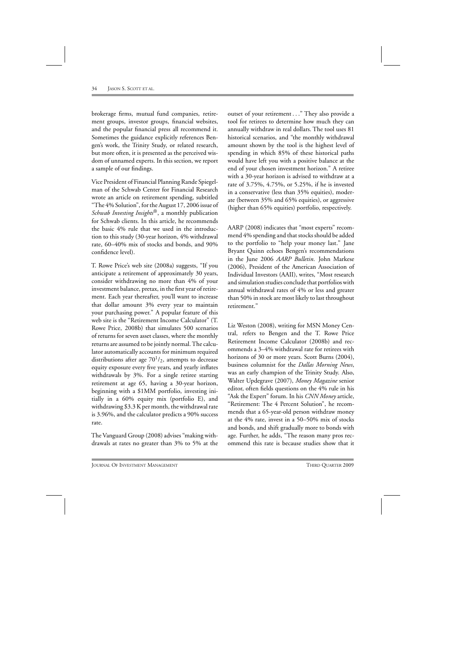brokerage firms, mutual fund companies, retirement groups, investor groups, financial websites, and the popular financial press all recommend it. Sometimes the guidance explicitly references Bengen's work, the Trinity Study, or related research, but more often, it is presented as the perceived wisdom of unnamed experts. In this section, we report a sample of our findings.

Vice President of Financial Planning Rande Spiegelman of the Schwab Center for Financial Research wrote an article on retirement spending, subtitled "The 4% Solution", for the August 17, 2006 issue of *Schwab Investing Insights*®, a monthly publication for Schwab clients. In this article, he recommends the basic 4% rule that we used in the introduction to this study (30-year horizon, 4% withdrawal rate, 60–40% mix of stocks and bonds, and 90% confidence level).

T. Rowe Price's web site (2008a) suggests, "If you anticipate a retirement of approximately 30 years, consider withdrawing no more than 4% of your investment balance, pretax, in the first year of retirement. Each year thereafter, you'll want to increase that dollar amount 3% every year to maintain your purchasing power." A popular feature of this web site is the "Retirement Income Calculator" (T. Rowe Price, 2008b) that simulates 500 scenarios of returns for seven asset classes, where the monthly returns are assumed to be jointly normal. The calculator automatically accounts for minimum required distributions after age  $70<sup>1</sup>/2$ , attempts to decrease equity exposure every five years, and yearly inflates withdrawals by 3%. For a single retiree starting retirement at age 65, having a 30-year horizon, beginning with a \$1MM portfolio, investing initially in a 60% equity mix (portfolio E), and withdrawing \$3.3 K per month, the withdrawal rate is 3.96%, and the calculator predicts a 90% success rate.

The Vanguard Group (2008) advises "making withdrawals at rates no greater than 3% to 5% at the outset of your retirement ..." They also provide a tool for retirees to determine how much they can annually withdraw in real dollars. The tool uses 81 historical scenarios, and "the monthly withdrawal amount shown by the tool is the highest level of spending in which 85% of these historical paths would have left you with a positive balance at the end of your chosen investment horizon." A retiree with a 30-year horizon is advised to withdraw at a rate of 3.75%, 4.75%, or 5.25%, if he is invested in a conservative (less than 35% equities), moderate (between 35% and 65% equities), or aggressive (higher than 65% equities) portfolio, respectively.

AARP (2008) indicates that "most experts" recommend 4% spending and that stocks should be added to the portfolio to "help your money last." Jane Bryant Quinn echoes Bengen's recommendations in the June 2006 *AARP Bulletin*. John Markese (2006), President of the American Association of Individual Investors (AAII), writes, "Most research and simulation studies conclude that portfolios with annual withdrawal rates of 4% or less and greater than 50% in stock are most likely to last throughout retirement."

Liz Weston (2008), writing for MSN Money Central, refers to Bengen and the T. Rowe Price Retirement Income Calculator (2008b) and recommends a 3–4% withdrawal rate for retirees with horizons of 30 or more years. Scott Burns (2004), business columnist for the *Dallas Morning News*, was an early champion of the Trinity Study. Also, Walter Updegrave (2007), *Money Magazine* senior editor, often fields questions on the 4% rule in his "Ask the Expert" forum. In his *CNN Money* article, "Retirement: The 4 Percent Solution", he recommends that a 65-year-old person withdraw money at the 4% rate, invest in a 50–50% mix of stocks and bonds, and shift gradually more to bonds with age. Further, he adds, "The reason many pros recommend this rate is because studies show that it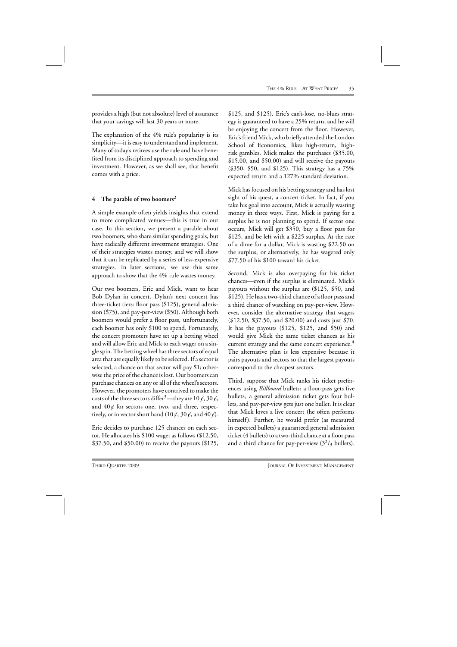provides a high (but not absolute) level of assurance that your savings will last 30 years or more.

The explanation of the 4% rule's popularity is its simplicity—it is easy to understand and implement. Many of today's retirees use the rule and have benefited from its disciplined approach to spending and investment. However, as we shall see, that benefit comes with a price.

### **4 The parable of two boomers**<sup>2</sup>

A simple example often yields insights that extend to more complicated venues—this is true in our case. In this section, we present a parable about two boomers, who share similar spending goals, but have radically different investment strategies. One of their strategies wastes money, and we will show that it can be replicated by a series of less-expensive strategies. In later sections, we use this same approach to show that the 4% rule wastes money.

Our two boomers, Eric and Mick, want to hear Bob Dylan in concert. Dylan's next concert has three-ticket tiers: floor pass (\$125), general admission (\$75), and pay-per-view (\$50). Although both boomers would prefer a floor pass, unfortunately, each boomer has only \$100 to spend. Fortunately, the concert promoters have set up a betting wheel and will allow Eric and Mick to each wager on a single spin. The betting wheel has three sectors of equal area that are equally likely to be selected. If a sector is selected, a chance on that sector will pay \$1; otherwise the price of the chance is lost. Our boomers can purchase chances on any or all of the wheel's sectors. However, the promoters have contrived to make the costs of the three sectors differ<sup>3</sup>—they are 10  $\epsilon$ , 30  $\epsilon$ , and  $40\not\in$  for sectors one, two, and three, respectively, or in vector short hand  $(10 \cancel{\epsilon}, 30 \cancel{\epsilon}, \text{and } 40 \cancel{\epsilon}).$ 

Eric decides to purchase 125 chances on each sector. He allocates his \$100 wager as follows (\$12.50, \$37.50, and \$50.00) to receive the payouts (\$125,

\$125, and \$125). Eric's can't-lose, no-blues strategy is guaranteed to have a 25% return, and he will be enjoying the concert from the floor. However, Eric's friend Mick, who briefly attended the London School of Economics, likes high-return, highrisk gambles. Mick makes the purchases (\$35.00, \$15.00, and \$50.00) and will receive the payouts (\$350, \$50, and \$125). This strategy has a 75% expected return and a 127% standard deviation.

Mick has focused on his betting strategy and has lost sight of his quest, a concert ticket. In fact, if you take his goal into account, Mick is actually wasting money in three ways. First, Mick is paying for a surplus he is not planning to spend. If sector one occurs, Mick will get \$350, buy a floor pass for \$125, and be left with a \$225 surplus. At the rate of a dime for a dollar, Mick is wasting \$22.50 on the surplus, or alternatively, he has wagered only \$77.50 of his \$100 toward his ticket.

Second, Mick is also overpaying for his ticket chances—even if the surplus is eliminated. Mick's payouts without the surplus are (\$125, \$50, and \$125). He has a two-third chance of a floor pass and a third chance of watching on pay-per-view. However, consider the alternative strategy that wagers (\$12.50, \$37.50, and \$20.00) and costs just \$70. It has the payouts (\$125, \$125, and \$50) and would give Mick the same ticket chances as his current strategy and the same concert experience.<sup>4</sup> The alternative plan is less expensive because it pairs payouts and sectors so that the largest payouts correspond to the cheapest sectors.

Third, suppose that Mick ranks his ticket preferences using *Billboard* bullets: a floor-pass gets five bullets, a general admission ticket gets four bullets, and pay-per-view gets just one bullet. It is clear that Mick loves a live concert (he often performs himself). Further, he would prefer (as measured in expected bullets) a guaranteed general admission ticket (4 bullets) to a two-third chance at a floor pass and a third chance for pay-per-view  $(3<sup>2</sup>/3)$  bullets).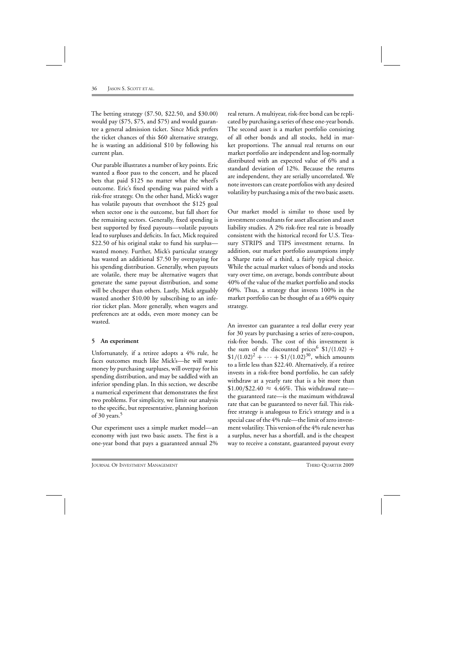The betting strategy (\$7.50, \$22.50, and \$30.00) would pay (\$75, \$75, and \$75) and would guarantee a general admission ticket. Since Mick prefers the ticket chances of this \$60 alternative strategy, he is wasting an additional \$10 by following his current plan.

Our parable illustrates a number of key points. Eric wanted a floor pass to the concert, and he placed bets that paid \$125 no matter what the wheel's outcome. Eric's fixed spending was paired with a risk-free strategy. On the other hand, Mick's wager has volatile payouts that overshoot the \$125 goal when sector one is the outcome, but fall short for the remaining sectors. Generally, fixed spending is best supported by fixed payouts—volatile payouts lead to surpluses and deficits. In fact, Mick required \$22.50 of his original stake to fund his surplus wasted money. Further, Mick's particular strategy has wasted an additional \$7.50 by overpaying for his spending distribution. Generally, when payouts are volatile, there may be alternative wagers that generate the same payout distribution, and some will be cheaper than others. Lastly, Mick arguably wasted another \$10.00 by subscribing to an inferior ticket plan. More generally, when wagers and preferences are at odds, even more money can be wasted.

# **5 An experiment**

Unfortunately, if a retiree adopts a 4% rule, he faces outcomes much like Mick's—he will waste money by purchasing surpluses, will overpay for his spending distribution, and may be saddled with an inferior spending plan. In this section, we describe a numerical experiment that demonstrates the first two problems. For simplicity, we limit our analysis to the specific, but representative, planning horizon of 30 years. $5$ 

Our experiment uses a simple market model—an economy with just two basic assets. The first is a one-year bond that pays a guaranteed annual 2% real return. A multiyear, risk-free bond can be replicated by purchasing a series of these one-year bonds. The second asset is a market portfolio consisting of all other bonds and all stocks, held in market proportions. The annual real returns on our market portfolio are independent and log-normally distributed with an expected value of 6% and a standard deviation of 12%. Because the returns are independent, they are serially uncorrelated. We note investors can create portfolios with any desired volatility by purchasing a mix of the two basic assets.

Our market model is similar to those used by investment consultants for asset allocation and asset liability studies. A 2% risk-free real rate is broadly consistent with the historical record for U.S. Treasury STRIPS and TIPS investment returns. In addition, our market portfolio assumptions imply a Sharpe ratio of a third, a fairly typical choice. While the actual market values of bonds and stocks vary over time, on average, bonds contribute about 40% of the value of the market portfolio and stocks 60%. Thus, a strategy that invests 100% in the market portfolio can be thought of as a 60% equity strategy.

An investor can guarantee a real dollar every year for 30 years by purchasing a series of zero-coupon, risk-free bonds. The cost of this investment is the sum of the discounted prices  $$1/(1.02)$  +  $$1/(1.02)^2 + \cdots + $1/(1.02)^{30}$ , which amounts to a little less than \$22.40. Alternatively, if a retiree invests in a risk-free bond portfolio, he can safely withdraw at a yearly rate that is a bit more than \$1.00/\$22.40  $\approx$  4.46%. This withdrawal rate the guaranteed rate—is the maximum withdrawal rate that can be guaranteed to never fail. This riskfree strategy is analogous to Eric's strategy and is a special case of the 4% rule—the limit of zero investment volatility. This version of the 4% rule never has a surplus, never has a shortfall, and is the cheapest way to receive a constant, guaranteed payout every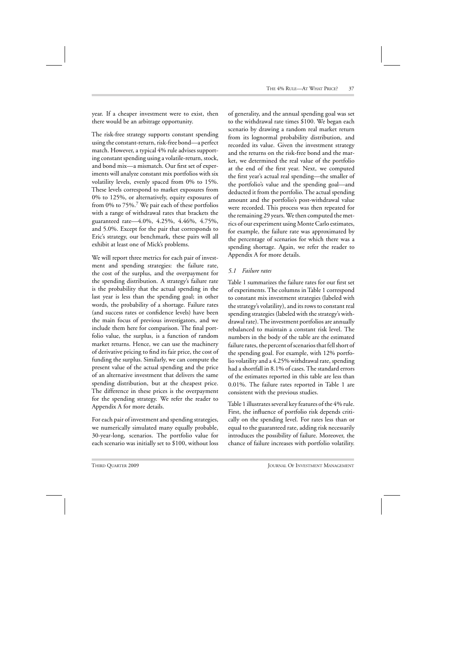year. If a cheaper investment were to exist, then there would be an arbitrage opportunity.

The risk-free strategy supports constant spending using the constant-return, risk-free bond—a perfect match. However, a typical 4% rule advises supporting constant spending using a volatile-return, stock, and bond mix—a mismatch. Our first set of experiments will analyze constant mix portfolios with six volatility levels, evenly spaced from 0% to 15%. These levels correspond to market exposures from 0% to 125%, or alternatively, equity exposures of from 0% to  $75\%$ .<sup>7</sup> We pair each of these portfolios with a range of withdrawal rates that brackets the guaranteed rate—4.0%, 4.25%, 4.46%, 4.75%, and 5.0%. Except for the pair that corresponds to Eric's strategy, our benchmark, these pairs will all exhibit at least one of Mick's problems.

We will report three metrics for each pair of investment and spending strategies: the failure rate, the cost of the surplus, and the overpayment for the spending distribution. A strategy's failure rate is the probability that the actual spending in the last year is less than the spending goal; in other words, the probability of a shortage. Failure rates (and success rates or confidence levels) have been the main focus of previous investigators, and we include them here for comparison. The final portfolio value, the surplus, is a function of random market returns. Hence, we can use the machinery of derivative pricing to find its fair price, the cost of funding the surplus. Similarly, we can compute the present value of the actual spending and the price of an alternative investment that delivers the same spending distribution, but at the cheapest price. The difference in these prices is the overpayment for the spending strategy. We refer the reader to Appendix A for more details.

For each pair of investment and spending strategies, we numerically simulated many equally probable, 30-year-long, scenarios. The portfolio value for each scenario was initially set to \$100, without loss

of generality, and the annual spending goal was set to the withdrawal rate times \$100. We began each scenario by drawing a random real market return from its lognormal probability distribution, and recorded its value. Given the investment strategy and the returns on the risk-free bond and the market, we determined the real value of the portfolio at the end of the first year. Next, we computed the first year's actual real spending—the smaller of the portfolio's value and the spending goal—and deducted it from the portfolio. The actual spending amount and the portfolio's post-withdrawal value were recorded. This process was then repeated for the remaining 29 years. We then computed the metrics of our experiment using Monte Carlo estimates, for example, the failure rate was approximated by the percentage of scenarios for which there was a spending shortage. Again, we refer the reader to Appendix A for more details.

### *5.1 Failure rates*

Table 1 summarizes the failure rates for our first set of experiments. The columns in Table 1 correspond to constant mix investment strategies (labeled with the strategy's volatility), and its rows to constant real spending strategies (labeled with the strategy's withdrawal rate). The investment portfolios are annually rebalanced to maintain a constant risk level. The numbers in the body of the table are the estimated failure rates, the percent of scenarios that fell short of the spending goal. For example, with 12% portfolio volatility and a 4.25% withdrawal rate, spending had a shortfall in 8.1% of cases. The standard errors of the estimates reported in this table are less than 0.01%. The failure rates reported in Table 1 are consistent with the previous studies.

Table 1 illustrates several key features of the 4% rule. First, the influence of portfolio risk depends critically on the spending level. For rates less than or equal to the guaranteed rate, adding risk necessarily introduces the possibility of failure. Moreover, the chance of failure increases with portfolio volatility.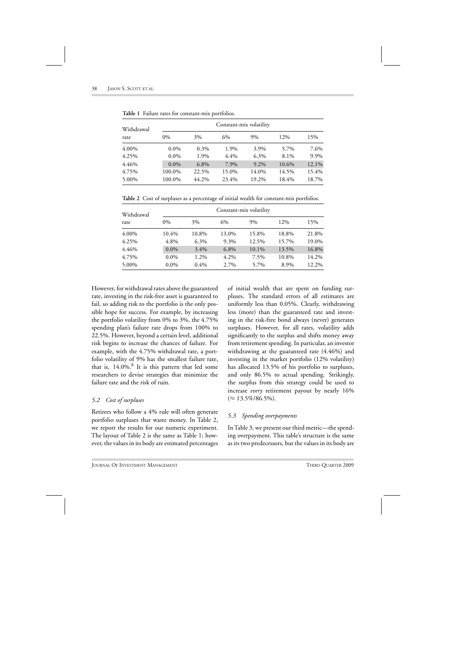| Withdrawal<br>rate | Constant-mix volatility |         |       |       |       |       |  |
|--------------------|-------------------------|---------|-------|-------|-------|-------|--|
|                    | $0\%$                   | 3%      | 6%    | 9%    | 12%   | 15%   |  |
| 4.00%              | $0.0\%$                 | $0.3\%$ | 1.9%  | 3.9%  | 5.7%  | 7.6%  |  |
| 4.25%              | $0.0\%$                 | 1.9%    | 4.4%  | 6.3%  | 8.1%  | 9.9%  |  |
| 4.46%              | $0.0\%$                 | 6.8%    | 7.9%  | 9.2%  | 10.6% | 12.1% |  |
| 4.75%              | 100.0%                  | 22.5%   | 15.0% | 14.0% | 14.5% | 15.4% |  |
| 5.00%              | 100.0%                  | 44.2%   | 23.4% | 19.2% | 18.4% | 18.7% |  |

**Table 1** Failure rates for constant-mix portfolios.

**Table 2** Cost of surpluses as a percentage of initial wealth for constant-mix portfolios.

| Withdrawal<br>rate | Constant-mix volatility |         |         |       |       |       |  |
|--------------------|-------------------------|---------|---------|-------|-------|-------|--|
|                    | $0\%$                   | 3%      | 6%      | 9%    | 12%   | 15%   |  |
| 4.00%              | 10.4%                   | 10.8%   | 13.0%   | 15.8% | 18.8% | 21.8% |  |
| 4.25%              | 4.8%                    | 6.3%    | 9.3%    | 12.5% | 15.7% | 19.0% |  |
| 4.46%              | $0.0\%$                 | 3.4%    | $6.8\%$ | 10.1% | 13.5% | 16.8% |  |
| 4.75%              | $0.0\%$                 | 1.2%    | $4.2\%$ | 7.5%  | 10.8% | 14.2% |  |
| 5.00%              | $0.0\%$                 | $0.4\%$ | 2.7%    | 5.7%  | 8.9%  | 12.2% |  |

However, for withdrawal rates above the guaranteed rate, investing in the risk-free asset is guaranteed to fail, so adding risk to the portfolio is the only possible hope for success. For example, by increasing the portfolio volatility from 0% to 3%, the 4.75% spending plan's failure rate drops from 100% to 22.5%. However, beyond a certain level, additional risk begins to increase the chances of failure. For example, with the 4.75% withdrawal rate, a portfolio volatility of 9% has the smallest failure rate, that is,  $14.0\%$ .<sup>8</sup> It is this pattern that led some researchers to devise strategies that minimize the failure rate and the risk of ruin.

### *5.2 Cost of surpluses*

Retirees who follow a 4% rule will often generate portfolio surpluses that waste money. In Table 2, we report the results for our numeric experiment. The layout of Table 2 is the same as Table 1; however, the values in its body are estimated percentages of initial wealth that are spent on funding surpluses. The standard errors of all estimates are uniformly less than 0.05%. Clearly, withdrawing less (more) than the guaranteed rate and investing in the risk-free bond always (never) generates surpluses. However, for all rates, volatility adds significantly to the surplus and shifts money away from retirement spending. In particular, an investor withdrawing at the guaranteed rate (4.46%) and investing in the market portfolio (12% volatility) has allocated 13.5% of his portfolio to surpluses, and only 86.5% to actual spending. Strikingly, the surplus from this strategy could be used to increase *every* retirement payout by nearly 16%  $(\approx 13.5\%/86.5\%).$ 

# *5.3 Spending overpayments*

In Table 3, we present our third metric—the spending overpayment. This table's structure is the same as its two predecessors, but the values in its body are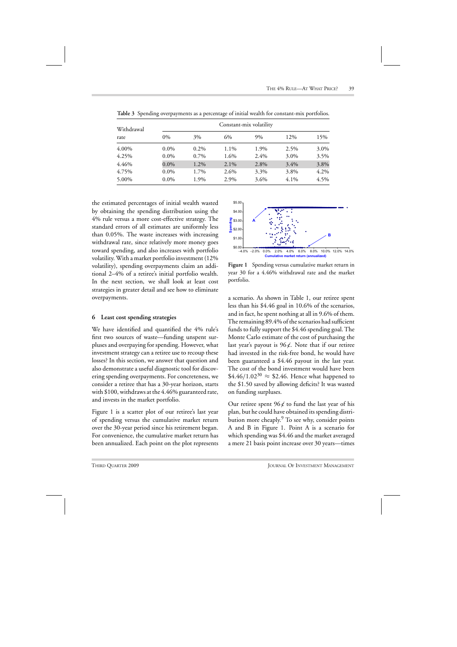| Withdrawal<br>rate | Constant-mix volatility |         |         |      |      |      |  |
|--------------------|-------------------------|---------|---------|------|------|------|--|
|                    | $0\%$                   | 3%      | 6%      | 9%   | 12%  | 15%  |  |
| 4.00%              | $0.0\%$                 | $0.2\%$ | 1.1%    | 1.9% | 2.5% | 3.0% |  |
| 4.25%              | $0.0\%$                 | 0.7%    | 1.6%    | 2.4% | 3.0% | 3.5% |  |
| 4.46%              | $0.0\%$                 | 1.2%    | $2.1\%$ | 2.8% | 3.4% | 3.8% |  |
| 4.75%              | $0.0\%$                 | 1.7%    | 2.6%    | 3.3% | 3.8% | 4.2% |  |
| 5.00%              | $0.0\%$                 | 1.9%    | 2.9%    | 3.6% | 4.1% | 4.5% |  |

**Table 3** Spending overpayments as a percentage of initial wealth for constant-mix portfolios.

the estimated percentages of initial wealth wasted by obtaining the spending distribution using the 4% rule versus a more cost-effective strategy. The standard errors of all estimates are uniformly less than 0.05%. The waste increases with increasing withdrawal rate, since relatively more money goes toward spending, and also increases with portfolio volatility. With a market portfolio investment (12% volatility), spending overpayments claim an additional 2–4% of a retiree's initial portfolio wealth. In the next section, we shall look at least cost strategies in greater detail and see how to eliminate overpayments.

#### **6 Least cost spending strategies**

We have identified and quantified the 4% rule's first two sources of waste—funding unspent surpluses and overpaying for spending. However, what investment strategy can a retiree use to recoup these losses? In this section, we answer that question and also demonstrate a useful diagnostic tool for discovering spending overpayments. For concreteness, we consider a retiree that has a 30-year horizon, starts with \$100, withdraws at the 4.46% guaranteed rate, and invests in the market portfolio.

Figure 1 is a scatter plot of our retiree's last year of spending versus the cumulative market return over the 30-year period since his retirement began. For convenience, the cumulative market return has been annualized. Each point on the plot represents



**Figure 1** Spending versus cumulative market return in year 30 for a 4.46% withdrawal rate and the market portfolio.

a scenario. As shown in Table 1, our retiree spent less than his \$4.46 goal in 10.6% of the scenarios, and in fact, he spent nothing at all in 9.6% of them. The remaining 89.4% of the scenarios had sufficient funds to fully support the \$4.46 spending goal. The Monte Carlo estimate of the cost of purchasing the last year's payout is  $96\ell$ . Note that if our retiree had invested in the risk-free bond, he would have been guaranteed a \$4.46 payout in the last year. The cost of the bond investment would have been  $$4.46/1.02^{30} \approx $2.46$ . Hence what happened to the \$1.50 saved by allowing deficits? It was wasted on funding surpluses.

Our retiree spent  $96\ell$  to fund the last year of his plan, but he could have obtained its spending distribution more cheaply.<sup>9</sup> To see why, consider points A and B in Figure 1. Point A is a scenario for which spending was \$4.46 and the market averaged a mere 21 basis point increase over 30 years—times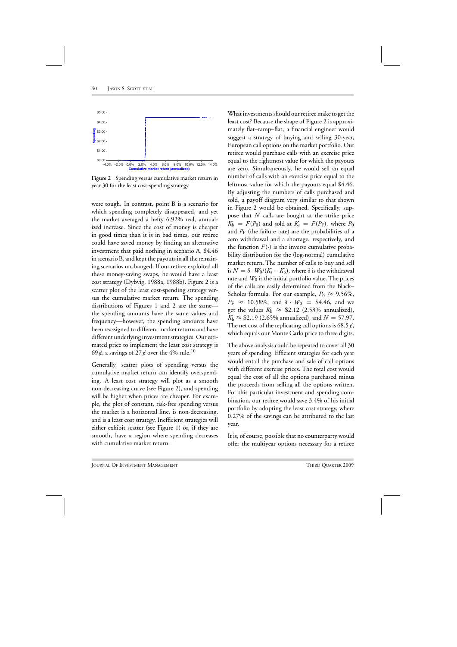

**Figure 2** Spending versus cumulative market return in year 30 for the least cost-spending strategy.

were tough. In contrast, point B is a scenario for which spending completely disappeared, and yet the market averaged a hefty 6.92% real, annualized increase. Since the cost of money is cheaper in good times than it is in bad times, our retiree could have saved money by finding an alternative investment that paid nothing in scenario A, \$4.46 in scenario B, and kept the payouts in all the remaining scenarios unchanged. If our retiree exploited all these money-saving swaps, he would have a least cost strategy (Dybvig, 1988a, 1988b). Figure 2 is a scatter plot of the least cost-spending strategy versus the cumulative market return. The spending distributions of Figures 1 and 2 are the same the spending amounts have the same values and frequency—however, the spending amounts have been reassigned to different market returns and have different underlying investment strategies. Our estimated price to implement the least cost strategy is 69  $\epsilon$ , a savings of 27  $\epsilon$  over the 4% rule.<sup>10</sup>

Generally, scatter plots of spending versus the cumulative market return can identify overspending. A least cost strategy will plot as a smooth non-decreasing curve (see Figure 2), and spending will be higher when prices are cheaper. For example, the plot of constant, risk-free spending versus the market is a horizontal line, is non-decreasing, and is a least cost strategy. Inefficient strategies will either exhibit scatter (see Figure 1) or, if they are smooth, have a region where spending decreases with cumulative market return.

What investments should our retiree make to get the least cost? Because the shape of Figure 2 is approximately flat–ramp–flat, a financial engineer would suggest a strategy of buying and selling 30-year, European call options on the market portfolio. Our retiree would purchase calls with an exercise price equal to the rightmost value for which the payouts are zero. Simultaneously, he would sell an equal number of calls with an exercise price equal to the leftmost value for which the payouts equal \$4.46. By adjusting the numbers of calls purchased and sold, a payoff diagram very similar to that shown in Figure 2 would be obtained. Specifically, suppose that *N* calls are bought at the strike price  $K_b = F(P_0)$  and sold at  $K_s = F(P_F)$ , where  $P_0$ and  $P_F$  (the failure rate) are the probabilities of a zero withdrawal and a shortage, respectively, and the function  $F(\cdot)$  is the inverse cumulative probability distribution for the (log-normal) cumulative market return. The number of calls to buy and sell is  $N = \delta \cdot W_0 / (K_s - K_b)$ , where  $\delta$  is the withdrawal rate and  $W_0$  is the initial portfolio value. The prices of the calls are easily determined from the Black– Scholes formula. For our example,  $P_0 \approx 9.56\%,$  $P_{\rm F} \approx 10.58\%$ , and  $\delta \cdot W_0 = \$4.46$ , and we get the values  $K_b \approx$  \$2.12 (2.53% annualized),  $K_b \approx $2.19 \ (2.65\% \text{ annualized})$ , and  $N = 57.97$ . The net cost of the replicating call options is 68.5  $\ell$ , which equals our Monte Carlo price to three digits.

The above analysis could be repeated to cover all 30 years of spending. Efficient strategies for each year would entail the purchase and sale of call options with different exercise prices. The total cost would equal the cost of all the options purchased minus the proceeds from selling all the options written. For this particular investment and spending combination, our retiree would save 3.4% of his initial portfolio by adopting the least cost strategy, where 0.27% of the savings can be attributed to the last year.

It is, of course, possible that no counterparty would offer the multiyear options necessary for a retiree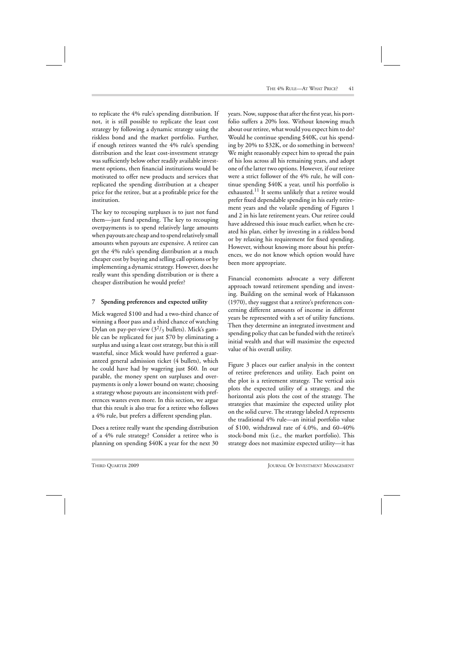to replicate the 4% rule's spending distribution. If not, it is still possible to replicate the least cost strategy by following a dynamic strategy using the riskless bond and the market portfolio. Further, if enough retirees wanted the 4% rule's spending distribution and the least cost-investment strategy was sufficiently below other readily available investment options, then financial institutions would be motivated to offer new products and services that replicated the spending distribution at a cheaper price for the retiree, but at a profitable price for the institution.

The key to recouping surpluses is to just not fund them—just fund spending. The key to recouping overpayments is to spend relatively large amounts when payouts are cheap and to spend relatively small amounts when payouts are expensive. A retiree can get the 4% rule's spending distribution at a much cheaper cost by buying and selling call options or by implementing a dynamic strategy. However, does he really want this spending distribution or is there a cheaper distribution he would prefer?

# **7 Spending preferences and expected utility**

Mick wagered \$100 and had a two-third chance of winning a floor pass and a third chance of watching Dylan on pay-per-view  $(3^2/\text{3} \text{ bullets})$ . Mick's gamble can be replicated for just \$70 by eliminating a surplus and using a least cost strategy, but this is still wasteful, since Mick would have preferred a guaranteed general admission ticket (4 bullets), which he could have had by wagering just \$60. In our parable, the money spent on surpluses and overpayments is only a lower bound on waste; choosing a strategy whose payouts are inconsistent with preferences wastes even more. In this section, we argue that this result is also true for a retiree who follows a 4% rule, but prefers a different spending plan.

Does a retiree really want the spending distribution of a 4% rule strategy? Consider a retiree who is planning on spending \$40K a year for the next 30

years. Now, suppose that after the first year, his portfolio suffers a 20% loss. Without knowing much about our retiree, what would you expect him to do? Would he continue spending \$40K, cut his spending by 20% to \$32K, or do something in between? We might reasonably expect him to spread the pain of his loss across all his remaining years, and adopt one of the latter two options. However, if our retiree were a strict follower of the 4% rule, he will continue spending \$40K a year, until his portfolio is exhausted.<sup>11</sup> It seems unlikely that a retiree would prefer fixed dependable spending in his early retirement years and the volatile spending of Figures 1 and 2 in his late retirement years. Our retiree could have addressed this issue much earlier, when he created his plan, either by investing in a riskless bond or by relaxing his requirement for fixed spending. However, without knowing more about his preferences, we do not know which option would have been more appropriate.

Financial economists advocate a very different approach toward retirement spending and investing. Building on the seminal work of Hakansson (1970), they suggest that a retiree's preferences concerning different amounts of income in different years be represented with a set of utility functions. Then they determine an integrated investment and spending policy that can be funded with the retiree's initial wealth and that will maximize the expected value of his overall utility.

Figure 3 places our earlier analysis in the context of retiree preferences and utility. Each point on the plot is a retirement strategy. The vertical axis plots the expected utility of a strategy, and the horizontal axis plots the cost of the strategy. The strategies that maximize the expected utility plot on the solid curve. The strategy labeled A represents the traditional 4% rule—an initial portfolio value of \$100, withdrawal rate of 4.0%, and 60–40% stock-bond mix (i.e., the market portfolio). This strategy does not maximize expected utility—it has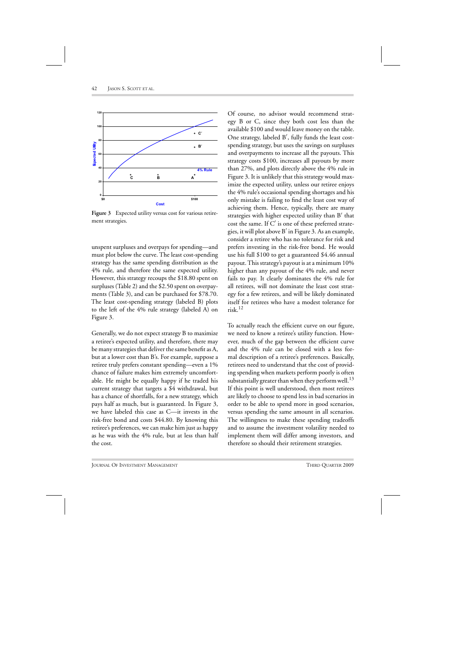

**Figure 3** Expected utility versus cost for various retirement strategies.

unspent surpluses and overpays for spending—and must plot below the curve. The least cost-spending strategy has the same spending distribution as the 4% rule, and therefore the same expected utility. However, this strategy recoups the \$18.80 spent on surpluses (Table 2) and the \$2.50 spent on overpayments (Table 3), and can be purchased for \$78.70. The least cost-spending strategy (labeled B) plots to the left of the 4% rule strategy (labeled A) on Figure 3.

Generally, we do not expect strategy B to maximize a retiree's expected utility, and therefore, there may be many strategies that deliver the same benefit as A, but at a lower cost than B's. For example, suppose a retiree truly prefers constant spending—even a 1% chance of failure makes him extremely uncomfortable. He might be equally happy if he traded his current strategy that targets a \$4 withdrawal, but has a chance of shortfalls, for a new strategy, which pays half as much, but is guaranteed. In Figure 3, we have labeled this case as C—it invests in the risk-free bond and costs \$44.80. By knowing this retiree's preferences, we can make him just as happy as he was with the 4% rule, but at less than half the cost.

Of course, no advisor would recommend strategy B or C, since they both cost less than the available \$100 and would leave money on the table. One strategy, labeled B , fully funds the least costspending strategy, but uses the savings on surpluses and overpayments to increase all the payouts. This strategy costs \$100, increases all payouts by more than 27%, and plots directly above the 4% rule in Figure 3. It is unlikely that this strategy would maximize the expected utility, unless our retiree enjoys the 4% rule's occasional spending shortages and his only mistake is failing to find the least cost way of achieving them. Hence, typically, there are many strategies with higher expected utility than B' that cost the same. If  $C'$  is one of these preferred strategies, it will plot above  $B'$  in Figure 3. As an example, consider a retiree who has no tolerance for risk and prefers investing in the risk-free bond. He would use his full \$100 to get a guaranteed \$4.46 annual payout. This strategy's payout is at a minimum 10% higher than any payout of the 4% rule, and never fails to pay. It clearly dominates the 4% rule for all retirees, will not dominate the least cost strategy for a few retirees, and will be likely dominated itself for retirees who have a modest tolerance for risk.<sup>12</sup>

To actually reach the efficient curve on our figure, we need to know a retiree's utility function. However, much of the gap between the efficient curve and the 4% rule can be closed with a less formal description of a retiree's preferences. Basically, retirees need to understand that the cost of providing spending when markets perform poorly is often substantially greater than when they perform well.<sup>13</sup> If this point is well understood, then most retirees are likely to choose to spend less in bad scenarios in order to be able to spend more in good scenarios, versus spending the same amount in all scenarios. The willingness to make these spending tradeoffs and to assume the investment volatility needed to implement them will differ among investors, and therefore so should their retirement strategies.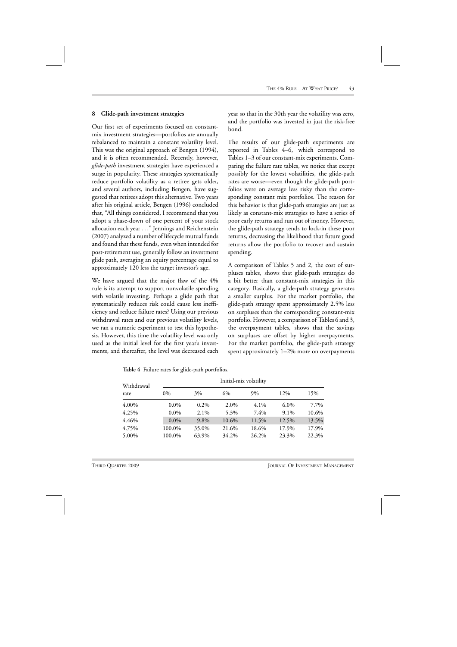### **8 Glide-path investment strategies**

Our first set of experiments focused on constantmix investment strategies—portfolios are annually rebalanced to maintain a constant volatility level. This was the original approach of Bengen (1994), and it is often recommended. Recently, however, *glide-path* investment strategies have experienced a surge in popularity. These strategies systematically reduce portfolio volatility as a retiree gets older, and several authors, including Bengen, have suggested that retirees adopt this alternative. Two years after his original article, Bengen (1996) concluded that, "All things considered, I recommend that you adopt a phase-down of one percent of your stock allocation each year ..." Jennings and Reichenstein (2007) analyzed a number of lifecycle mutual funds and found that these funds, even when intended for post-retirement use, generally follow an investment glide path, averaging an equity percentage equal to approximately 120 less the target investor's age.

We have argued that the major flaw of the 4% rule is its attempt to support nonvolatile spending with volatile investing. Perhaps a glide path that systematically reduces risk could cause less inefficiency and reduce failure rates? Using our previous withdrawal rates and our previous volatility levels, we ran a numeric experiment to test this hypothesis. However, this time the volatility level was only used as the initial level for the first year's investments, and thereafter, the level was decreased each

year so that in the 30th year the volatility was zero, and the portfolio was invested in just the risk-free bond.

The results of our glide-path experiments are reported in Tables 4–6, which correspond to Tables 1–3 of our constant-mix experiments. Comparing the failure rate tables, we notice that except possibly for the lowest volatilities, the glide-path rates are worse—even though the glide-path portfolios were on average less risky than the corresponding constant mix portfolios. The reason for this behavior is that glide-path strategies are just as likely as constant-mix strategies to have a series of poor early returns and run out of money. However, the glide-path strategy tends to lock-in these poor returns, decreasing the likelihood that future good returns allow the portfolio to recover and sustain spending.

A comparison of Tables 5 and 2, the cost of surpluses tables, shows that glide-path strategies do a bit better than constant-mix strategies in this category. Basically, a glide-path strategy generates a smaller surplus. For the market portfolio, the glide-path strategy spent approximately 2.5% less on surpluses than the corresponding constant-mix portfolio. However, a comparison of Tables 6 and 3, the overpayment tables, shows that the savings on surpluses are offset by higher overpayments. For the market portfolio, the glide-path strategy spent approximately 1–2% more on overpayments

| Withdrawal<br>rate | Initial-mix volatility |         |       |         |         |       |  |
|--------------------|------------------------|---------|-------|---------|---------|-------|--|
|                    | $0\%$                  | 3%      | 6%    | 9%      | 12%     | 15%   |  |
| 4.00%              | $0.0\%$                | $0.2\%$ | 2.0%  | $4.1\%$ | $6.0\%$ | 7.7%  |  |
| 4.25%              | $0.0\%$                | 2.1%    | 5.3%  | 7.4%    | 9.1%    | 10.6% |  |
| 4.46%              | $0.0\%$                | 9.8%    | 10.6% | 11.5%   | 12.5%   | 13.5% |  |
| 4.75%              | 100.0%                 | 35.0%   | 21.6% | 18.6%   | 17.9%   | 17.9% |  |
| 5.00%              | 100.0%                 | 63.9%   | 34.2% | 26.2%   | 23.3%   | 22.3% |  |

**Table 4** Failure rates for glide-path portfolios.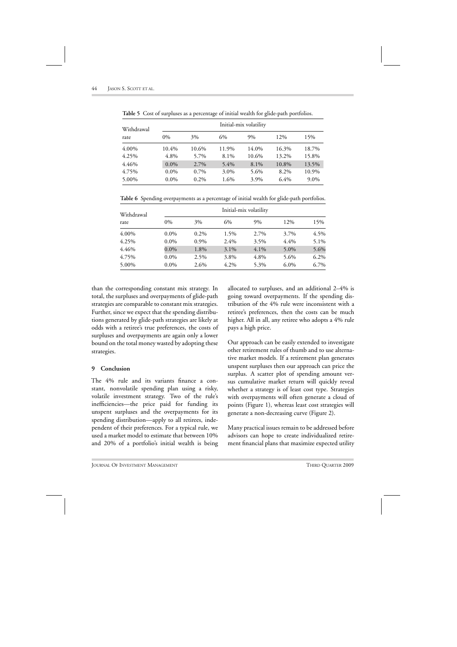| Withdrawal<br>rate | Initial-mix volatility |         |       |       |       |       |  |
|--------------------|------------------------|---------|-------|-------|-------|-------|--|
|                    | $0\%$                  | 3%      | 6%    | $9\%$ | 12%   | 15%   |  |
| 4.00%              | 10.4%                  | 10.6%   | 11.9% | 14.0% | 16.3% | 18.7% |  |
| 4.25%              | 4.8%                   | 5.7%    | 8.1%  | 10.6% | 13.2% | 15.8% |  |
| 4.46%              | $0.0\%$                | 2.7%    | 5.4%  | 8.1%  | 10.8% | 13.5% |  |
| 4.75%              | $0.0\%$                | $0.7\%$ | 3.0%  | 5.6%  | 8.2%  | 10.9% |  |
| 5.00%              | $0.0\%$                | $0.2\%$ | 1.6%  | 3.9%  | 6.4%  | 9.0%  |  |

**Table 5** Cost of surpluses as a percentage of initial wealth for glide-path portfolios.

**Table 6** Spending overpayments as a percentage of initial wealth for glide-path portfolios.

| Withdrawal<br>rate | Initial-mix volatility |         |         |         |         |      |
|--------------------|------------------------|---------|---------|---------|---------|------|
|                    | $0\%$                  | 3%      | 6%      | 9%      | 12%     | 15%  |
| 4.00%              | $0.0\%$                | $0.2\%$ | 1.5%    | 2.7%    | 3.7%    | 4.5% |
| 4.25%              | $0.0\%$                | 0.9%    | 2.4%    | 3.5%    | 4.4%    | 5.1% |
| 4.46%              | $0.0\%$                | 1.8%    | $3.1\%$ | $4.1\%$ | $5.0\%$ | 5.6% |
| 4.75%              | $0.0\%$                | 2.5%    | 3.8%    | 4.8%    | 5.6%    | 6.2% |
| 5.00%              | $0.0\%$                | $2.6\%$ | 4.2%    | 5.3%    | $6.0\%$ | 6.7% |

than the corresponding constant mix strategy. In total, the surpluses and overpayments of glide-path strategies are comparable to constant mix strategies. Further, since we expect that the spending distributions generated by glide-path strategies are likely at odds with a retiree's true preferences, the costs of surpluses and overpayments are again only a lower bound on the total money wasted by adopting these strategies.

### **9 Conclusion**

The 4% rule and its variants finance a constant, nonvolatile spending plan using a risky, volatile investment strategy. Two of the rule's inefficiencies—the price paid for funding its unspent surpluses and the overpayments for its spending distribution—apply to all retirees, independent of their preferences. For a typical rule, we used a market model to estimate that between 10% and 20% of a portfolio's initial wealth is being allocated to surpluses, and an additional 2–4% is going toward overpayments. If the spending distribution of the 4% rule were inconsistent with a retiree's preferences, then the costs can be much higher. All in all, any retiree who adopts a 4% rule pays a high price.

Our approach can be easily extended to investigate other retirement rules of thumb and to use alternative market models. If a retirement plan generates unspent surpluses then our approach can price the surplus. A scatter plot of spending amount versus cumulative market return will quickly reveal whether a strategy is of least cost type. Strategies with overpayments will often generate a cloud of points (Figure 1), whereas least cost strategies will generate a non-decreasing curve (Figure 2).

Many practical issues remain to be addressed before advisors can hope to create individualized retirement financial plans that maximize expected utility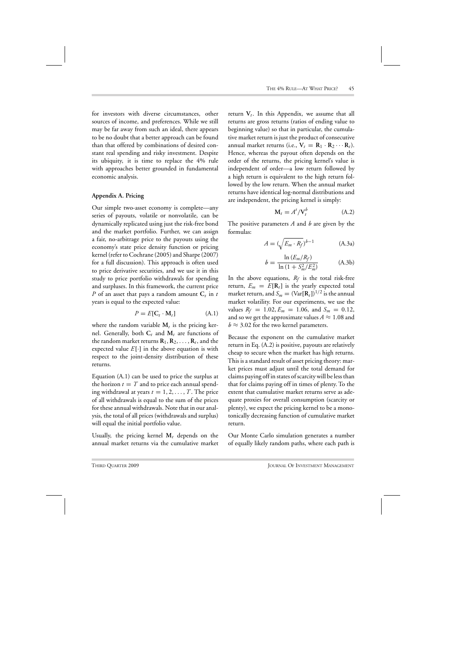for investors with diverse circumstances, other sources of income, and preferences. While we still may be far away from such an ideal, there appears to be no doubt that a better approach can be found than that offered by combinations of desired constant real spending and risky investment. Despite its ubiquity, it is time to replace the 4% rule with approaches better grounded in fundamental economic analysis.

#### **Appendix A. Pricing**

Our simple two-asset economy is complete—any series of payouts, volatile or nonvolatile, can be dynamically replicated using just the risk-free bond and the market portfolio. Further, we can assign a fair, no-arbitrage price to the payouts using the economy's state price density function or pricing kernel (refer to Cochrane (2005) and Sharpe (2007) for a full discussion). This approach is often used to price derivative securities, and we use it in this study to price portfolio withdrawals for spending and surpluses. In this framework, the current price *P* of an asset that pays a random amount **C***<sup>t</sup>* in *t* years is equal to the expected value:

$$
P = E[\mathbf{C}_t \cdot \mathbf{M}_t] \tag{A.1}
$$

where the random variable  $M_t$  is the pricing kernel. Generally, both  $C_t$  and  $M_t$  are functions of the random market returns  $\mathbf{R}_1, \mathbf{R}_2, \ldots, \mathbf{R}_t$ , and the expected value  $E[\cdot]$  in the above equation is with respect to the joint-density distribution of these returns.

Equation (A.1) can be used to price the surplus at the horizon  $t = T$  and to price each annual spending withdrawal at years  $t = 1, 2, \ldots, T$ . The price of all withdrawals is equal to the sum of the prices for these annual withdrawals. Note that in our analysis, the total of all prices (withdrawals and surplus) will equal the initial portfolio value.

Usually, the pricing kernel **M***<sup>t</sup>* depends on the annual market returns via the cumulative market

return  $V_t$ . In this Appendix, we assume that all returns are gross returns (ratios of ending value to beginning value) so that in particular, the cumulative market return is just the product of consecutive annual market returns (i.e.,  $V_t = R_1 \cdot R_2 \cdots R_t$ ). Hence, whereas the payout often depends on the order of the returns, the pricing kernel's value is independent of order—a low return followed by a high return is equivalent to the high return followed by the low return. When the annual market returns have identical log-normal distributions and are independent, the pricing kernel is simply:

$$
\mathbf{M}_t = A^t / \mathbf{V}_t^b \tag{A.2}
$$

The positive parameters *A* and *b* are given by the formulas:

$$
A = (\sqrt{E_m \cdot R_f})^{b-1}
$$
 (A.3a)

$$
b = \frac{\ln (E_m/R_f)}{\ln (1 + S_m^2/E_m^2)}
$$
 (A.3b)

In the above equations,  $R_f$  is the total risk-free return,  $E_m = E[\mathbf{R}_t]$  is the yearly expected total market return, and  $S_m = (\text{Var}[\mathbf{R}_t])^{1/2}$  is the annual market volatility. For our experiments, we use the values  $R_f = 1.02$ ,  $E_m = 1.06$ , and  $S_m = 0.12$ , and so we get the approximate values  $A \approx 1.08$  and  $b \approx 3.02$  for the two kernel parameters.

Because the exponent on the cumulative market return in Eq. (A.2) is positive, payouts are relatively cheap to secure when the market has high returns. This is a standard result of asset pricing theory: market prices must adjust until the total demand for claims paying off in states of scarcity will be less than that for claims paying off in times of plenty. To the extent that cumulative market returns serve as adequate proxies for overall consumption (scarcity or plenty), we expect the pricing kernel to be a monotonically decreasing function of cumulative market return.

Our Monte Carlo simulation generates a number of equally likely random paths, where each path is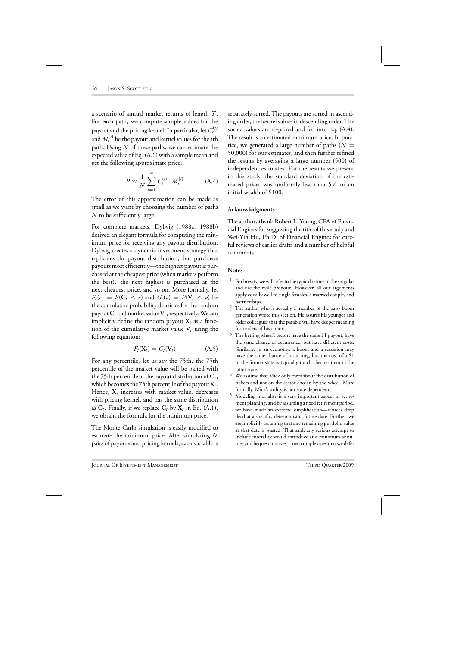a scenario of annual market returns of length *T* . For each path, we compute sample values for the payout and the pricing kernel. In particular, let  $C_t^{(i)}$ and  $M_t^{(i)}$  be the payout and kernel values for the  $i$ th path. Using *N* of these paths, we can estimate the expected value of Eq. (A.1) with a sample mean and get the following approximate price:

$$
P \approx \frac{1}{N} \sum_{i=1}^{N} C_t^{(i)} \cdot M_t^{(i)}
$$
 (A.4)

The error of this approximation can be made as small as we want by choosing the number of paths *N* to be sufficiently large.

For complete markets, Dybvig (1988a, 1988b) derived an elegant formula for computing the minimum price for receiving any payout distribution. Dybvig creates a dynamic investment strategy that replicates the payout distribution, but purchases payouts most efficiently—the highest payout is purchased at the cheapest price (when markets perform the best), the next highest is purchased at the next cheapest price, and so on. More formally, let  $F_t(c) = P(C_t \leq c)$  and  $G_t(v) = P(V_t \leq v)$  be the cumulative probability densities for the random payout  $C_t$  and market value  $V_t$ , respectively. We can implicitly define the random payout  $X_t$  as a function of the cumulative market value  $V_t$  using the following equation:

$$
F_t(\mathbf{X}_t) = G_t(\mathbf{V}_t) \tag{A.5}
$$

For any percentile, let us say the 75th, the 75th percentile of the market value will be paired with the 75th percentile of the payout distribution of  $C_t$ , which becomes the 75th percentile of the payout  $X_t$ . Hence,  $X_t$  increases with market value, decreases with pricing kernel, and has the same distribution as  $C_t$ . Finally, if we replace  $C_t$  by  $X_t$  in Eq. (A.1), we obtain the formula for the minimum price.

The Monte Carlo simulation is easily modified to estimate the minimum price. After simulating *N* pairs of payouts and pricing kernels, each variable is separately sorted. The payouts are sorted in ascending order, the kernel values in descending order. The sorted values are re-paired and fed into Eq. (A.4). The result is an estimated minimum price. In practice, we generated a large number of paths  $(N =$ 50,000) for our estimates, and then further refined the results by averaging a large number (500) of independent estimates. For the results we present in this study, the standard deviation of the estimated prices was uniformly less than  $5\not\in$  for an initial wealth of \$100.

#### **Acknowledgments**

The authors thank Robert L. Young, CFA of Financial Engines for suggesting the title of this study and Wei-Yin Hu, Ph.D. of Financial Engines for careful reviews of earlier drafts and a number of helpful comments.

#### **Notes**

- $1$  For brevity, we will refer to the typical retiree in the singular and use the male pronoun. However, all our arguments apply equally well to single females, a married couple, and partnerships.
- <sup>2</sup> The author who is actually a member of the baby boom generation wrote this section. He assures his younger and older colleagues that the parable will have deeper meaning for readers of his cohort.
- $3$  The betting wheel's sectors have the same \$1 payout, have the same chance of occurrence, but have different costs. Similarly, in an economy, a boom and a recession may have the same chance of occurring, but the cost of a \$1 in the former state is typically much cheaper than in the latter state.
- We assume that Mick only cares about the distribution of tickets and not on the sector chosen by the wheel. More formally, Mick's utility is not state dependent.
- <sup>5</sup> Modeling mortality is a very important aspect of retirement planning, and by assuming a fixed retirement period, we have made an extreme simplification—retirees drop dead at a specific, deterministic, future date. Further, we are implicitly assuming that any remaining portfolio value at that date is wasted. That said, any serious attempt to include mortality would introduce at a minimum annuities and bequest motives—two complexities that we defer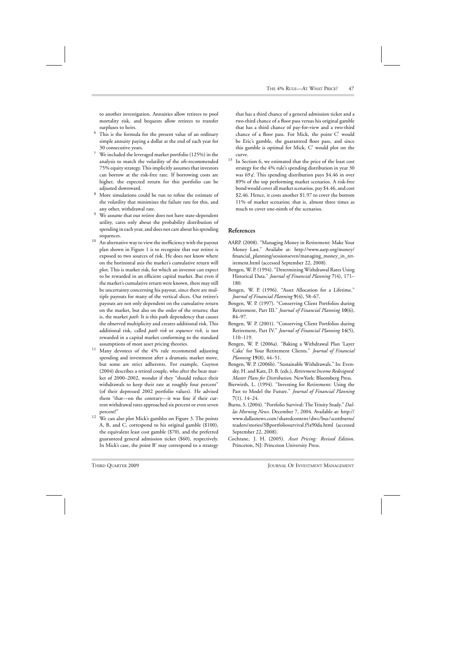to another investigation. Annuities allow retirees to pool mortality risk, and bequests allow retirees to transfer surpluses to heirs.

- $6$  This is the formula for the present value of an ordinary simple annuity paying a dollar at the end of each year for 30 consecutive years.
- $7$  We included the leveraged market portfolio (125%) in the analysis to match the volatility of the oft-recommended 75% equity strategy. This implicitly assumes that investors can borrow at the risk-free rate. If borrowing costs are higher, the expected return for this portfolio can be adjusted downward.
- <sup>8</sup> More simulations could be run to refine the estimate of the volatility that minimizes the failure rate for this, and any other, withdrawal rate.
- <sup>9</sup> We assume that our retiree does not have state-dependent utility, cares only about the probability distribution of spending in each year, and does not care about his spending sequences.
- $^{10}\;$  An alternative way to view the inefficiency with the payout plan shown in Figure 1 is to recognize that our retiree is exposed to two sources of risk. He does not know where on the horizontal axis the market's cumulative return will plot. This is market risk, for which an investor can expect to be rewarded in an efficient capital market. But even if the market's cumulative return were known, there may still be uncertainty concerning his payout, since there are multiple payouts for many of the vertical slices. Our retiree's payouts are not only dependent on the cumulative return on the market, but also on the order of the returns; that is, the market *path*. It is this path dependency that causes the observed multiplicity and creates additional risk. This additional risk, called *path risk* or *sequence risk*, is not rewarded in a capital market conforming to the standard assumptions of most asset pricing theories.
- $11$  Many devotees of the 4% rule recommend adjusting spending and investment after a dramatic market move, but some are strict adherents. For example, Guyton (2004) describes a retired couple, who after the bear market of 2000–2002, wonder if they "should reduce their withdrawals to keep their rate at roughly four percent" (of their depressed 2002 portfolio values). He advised them "that—on the contrary—it was fine if their current withdrawal rates approached six percent or even seven percent!"
- <sup>12</sup> We can also plot Mick's gambles on Figure 3. The points A, B, and C, correspond to his original gamble (\$100), the equivalent least cost gamble (\$70), and the preferred guaranteed general admission ticket (\$60), respectively. In Mick's case, the point  $B'$  may correspond to a strategy

that has a third chance of a general admission ticket and a two-third chance of a floor pass versus his original gamble that has a third chance of pay-for-view and a two-third chance of a floor pass. For Mick, the point  $C'$  would be Eric's gamble, the guaranteed floor pass, and since this gamble is optimal for Mick, C would plot on the curve.

 $13$  In Section 6, we estimated that the price of the least cost strategy for the 4% rule's spending distribution in year 30 was 69 $\chi$ . This spending distribution pays \$4.46 in over 89% of the top performing market scenarios. A risk-free bond would cover all market scenarios, pay \$4.46, and cost \$2.46. Hence, it costs another \$1.97 to cover the bottom 11% of market scenarios; that is, almost three times as much to cover one-ninth of the scenarios.

### **References**

- AARP. (2008). "Managing Money in Retirement: Make Your Money Last." Availabe at: http://www.aarp.org/money/ financial\_planning/sessionseven/managing\_money\_in\_retirement.html (accessed September 22, 2008).
- Bengen, W. P. (1994). "Determining Withdrawal Rates Using Historical Data." *Journal of Financial Planning* **7**(4), 171– 180.
- Bengen, W. P. (1996). "Asset Allocation for a Lifetime." *Journal of Financial Planning* **9**(4), 58–67.
- Bengen, W. P. (1997). "Conserving Client Portfolios during Retirement, Part III." *Journal of Financial Planning* **10**(6), 84–97.
- Bengen, W. P. (2001). "Conserving Client Portfolios during Retirement, Part IV." *Journal of Financial Planning* **14**(5), 110–119.
- Bengen, W. P. (2006a). "Baking a Withdrawal Plan 'Layer Cake' for Your Retirement Clients." *Journal of Financial Planning* **19**(8), 44–51.
- Bengen, W. P. (2006b). "Sustainable Withdrawals." In: Evensky, H. and Katz, D. B. (eds.), *Retirement Income Redesigned: Master Plans for Distribution*. NewYork: Bloomberg Press.
- Bierwirth, L. (1994). "Investing for Retirement: Using the Past to Model the Future." *Journal of Financial Planning* **7**(1), 14–24.
- Burns, S. (2004). "Portfolio Survival: The Trinity Study." Dal*las Morning News*. December 7, 2004. Available at: http:// www.dallasnews.com /sharedcontent /dws /bus /scottburns/ readers/stories/SBportfoliosurvival.f5a90da.html (accessed September 22, 2008).
- Cochrane, J. H. (2005). *Asset Pricing: Revised Edition*. Princeton, NJ: Princeton University Press.